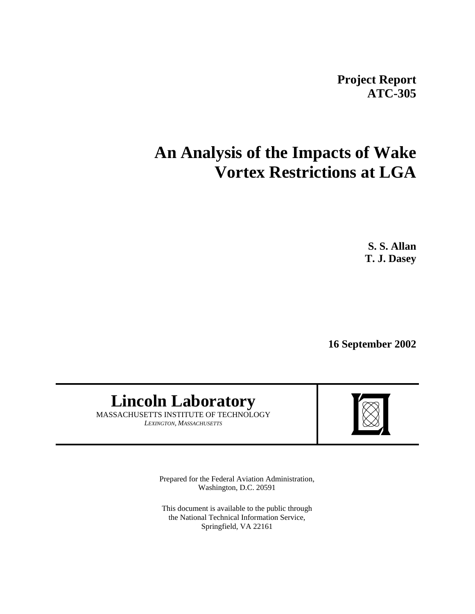**Project Report ATC-305**

# **An Analysis of the Impacts of Wake Vortex Restrictions at LGA**

**S. S. Allan T. J. Dasey**

**16 September 2002**

# **Lincoln Laboratory**

MASSACHUSETTS INSTITUTE OF TECHNOLOGY *LEXINGTON, MASSACHUSETTS*



Prepared for the Federal Aviation Administration, Washington, D.C. 20591

This document is available to the public through the National Technical Information Service, Springfield, VA 22161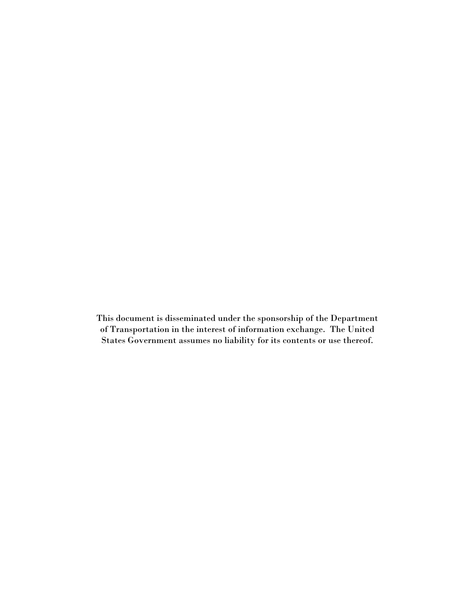This document is disseminated under the sponsorship of the Department of Transportation in the interest of information exchange. The United States Government assumes no liability for its contents or use thereof.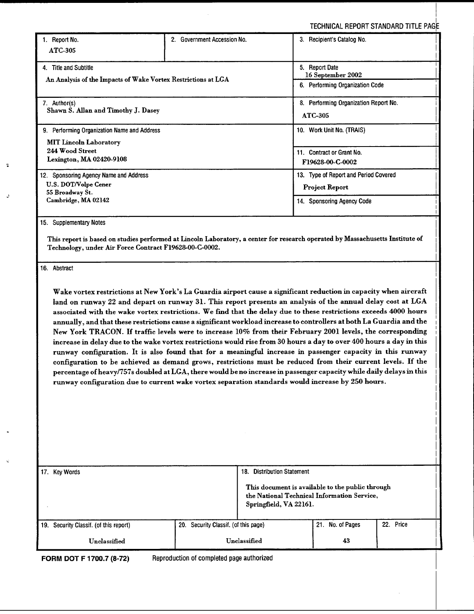TECHNICAL REPORT STANDARD TITLE PAC

| 1. Report No.                                                                                                     | 2. Government Accession No.                                                                                           | 3. Recipient's Catalog No.                                                                                                    |  |  |
|-------------------------------------------------------------------------------------------------------------------|-----------------------------------------------------------------------------------------------------------------------|-------------------------------------------------------------------------------------------------------------------------------|--|--|
| <b>ATC-305</b>                                                                                                    |                                                                                                                       |                                                                                                                               |  |  |
| 4. Title and Subtitle                                                                                             |                                                                                                                       | 5. Report Date<br>16 September 2002                                                                                           |  |  |
| An Analysis of the Impacts of Wake Vortex Restrictions at LGA                                                     |                                                                                                                       | 6. Performing Organization Code                                                                                               |  |  |
|                                                                                                                   |                                                                                                                       |                                                                                                                               |  |  |
| 7. Author(s)<br>Shawn S. Allan and Timothy J. Dasey                                                               |                                                                                                                       | 8. Performing Organization Report No.                                                                                         |  |  |
|                                                                                                                   |                                                                                                                       | ATC-305                                                                                                                       |  |  |
| 9. Performing Organization Name and Address                                                                       |                                                                                                                       | 10. Work Unit No. (TRAIS)                                                                                                     |  |  |
| <b>MIT Lincoln Laboratory</b>                                                                                     |                                                                                                                       |                                                                                                                               |  |  |
| 244 Wood Street                                                                                                   |                                                                                                                       | 11. Contract or Grant No.                                                                                                     |  |  |
| Lexington, MA 02420-9108                                                                                          |                                                                                                                       | F19628-00-C-0002                                                                                                              |  |  |
| 12. Sponsoring Agency Name and Address                                                                            |                                                                                                                       | 13. Type of Report and Period Covered                                                                                         |  |  |
| U.S. DOT/Volpe Cener<br>55 Broadway St.                                                                           |                                                                                                                       | Project Report                                                                                                                |  |  |
| Cambridge, MA 02142                                                                                               |                                                                                                                       | 14. Sponsoring Agency Code                                                                                                    |  |  |
|                                                                                                                   |                                                                                                                       |                                                                                                                               |  |  |
| 15. Supplementary Notes                                                                                           |                                                                                                                       |                                                                                                                               |  |  |
|                                                                                                                   |                                                                                                                       | This report is based on studies performed at Lincoln Laboratory, a center for research operated by Massachusetts Institute of |  |  |
| Technology, under Air Force Contract F19628-00-C-0002.                                                            |                                                                                                                       |                                                                                                                               |  |  |
|                                                                                                                   |                                                                                                                       |                                                                                                                               |  |  |
| 16. Abstract                                                                                                      |                                                                                                                       |                                                                                                                               |  |  |
|                                                                                                                   |                                                                                                                       |                                                                                                                               |  |  |
|                                                                                                                   |                                                                                                                       | Wake vortex restrictions at New York's La Guardia airport cause a significant reduction in capacity when aircraft             |  |  |
| land on runway 22 and depart on runway 31. This report presents an analysis of the annual delay cost at LGA       |                                                                                                                       |                                                                                                                               |  |  |
| associated with the wake vortex restrictions. We find that the delay due to these restrictions exceeds 4000 hours |                                                                                                                       |                                                                                                                               |  |  |
|                                                                                                                   | annually, and that these restrictions cause a significant workload increase to controllers at both La Guardia and the |                                                                                                                               |  |  |
|                                                                                                                   |                                                                                                                       | New York TRACON. If traffic levels were to increase 10% from their February 2001 levels, the corresponding                    |  |  |

increase in delay due to the wake vortex restrictions would rise from 30 hours a day to over **400** hours a day in this runway configuration. It is also found that for a meaningful increase in passenger capacity in this runway configuration to be achieved as demand grows, restrictions must be reduced from their current levels. If the percentage of heavyl757s doubled at LGA, there would beno increase in passenger capacity while daily delays in this runway configuration due to current wake vortex separation standards would increase by **250** hours.

|     | 18. |                                                  |                                                         |                                                                                                 |
|-----|-----|--------------------------------------------------|---------------------------------------------------------|-------------------------------------------------------------------------------------------------|
|     |     |                                                  |                                                         |                                                                                                 |
| 20. |     | 21. No. of Pages                                 | 22. Price                                               |                                                                                                 |
|     |     | 43                                               |                                                         |                                                                                                 |
|     |     | Security Classif. (of this page)<br>Unclassified | <b>Distribution Statement</b><br>Springfield, VA 22161. | This document is available to the public through<br>the National Technical Information Service, |

**FORM DOT F 1700.7 (8-72)** Reproduction of completed page authorized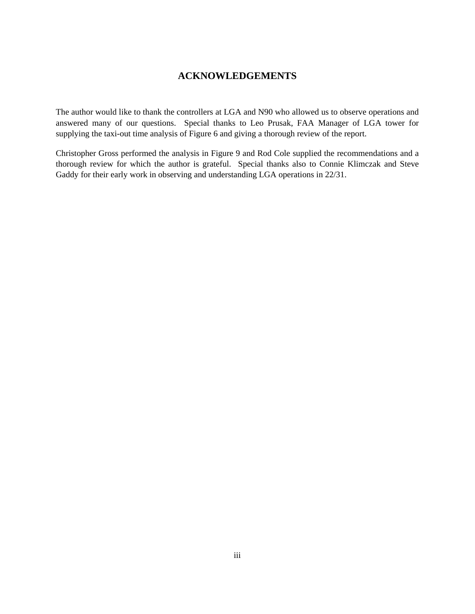## **ACKNOWLEDGEMENTS**

The author would like to thank the controllers at LGA and N90 who allowed us to observe operations and answered many of our questions. Special thanks to Leo Prusak, FAA Manager of LGA tower for supplying the taxi-out time analysis of Figure 6 and giving a thorough review of the report.

Christopher Gross performed the analysis in Figure 9 and Rod Cole supplied the recommendations and a thorough review for which the author is grateful. Special thanks also to Connie Klimczak and Steve Gaddy for their early work in observing and understanding LGA operations in 22/31.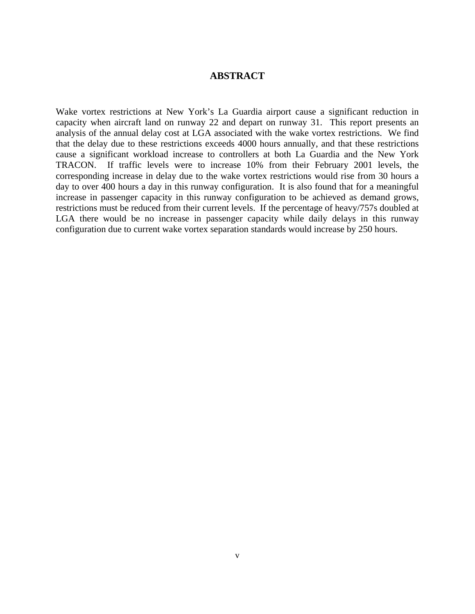## **ABSTRACT**

Wake vortex restrictions at New York's La Guardia airport cause a significant reduction in capacity when aircraft land on runway 22 and depart on runway 31. This report presents an analysis of the annual delay cost at LGA associated with the wake vortex restrictions. We find that the delay due to these restrictions exceeds 4000 hours annually, and that these restrictions cause a significant workload increase to controllers at both La Guardia and the New York TRACON. If traffic levels were to increase 10% from their February 2001 levels, the corresponding increase in delay due to the wake vortex restrictions would rise from 30 hours a day to over 400 hours a day in this runway configuration. It is also found that for a meaningful increase in passenger capacity in this runway configuration to be achieved as demand grows, restrictions must be reduced from their current levels. If the percentage of heavy/757s doubled at LGA there would be no increase in passenger capacity while daily delays in this runway configuration due to current wake vortex separation standards would increase by 250 hours.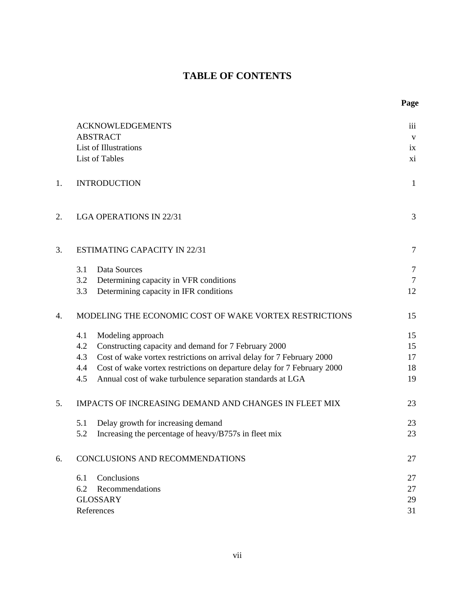# **TABLE OF CONTENTS**

|    | <b>ACKNOWLEDGEMENTS</b>                                                        | iii            |
|----|--------------------------------------------------------------------------------|----------------|
|    | <b>ABSTRACT</b>                                                                | $\mathbf{V}$   |
|    | List of Illustrations                                                          | ix             |
|    | List of Tables                                                                 | xi             |
| 1. | <b>INTRODUCTION</b>                                                            | $\mathbf{1}$   |
| 2. | <b>LGA OPERATIONS IN 22/31</b>                                                 | 3              |
| 3. | <b>ESTIMATING CAPACITY IN 22/31</b>                                            | $\overline{7}$ |
|    | Data Sources<br>3.1                                                            | $\overline{7}$ |
|    | 3.2<br>Determining capacity in VFR conditions                                  | $\overline{7}$ |
|    | 3.3<br>Determining capacity in IFR conditions                                  | 12             |
| 4. | MODELING THE ECONOMIC COST OF WAKE VORTEX RESTRICTIONS                         | 15             |
|    | 4.1<br>Modeling approach                                                       | 15             |
|    | 4.2<br>Constructing capacity and demand for 7 February 2000                    | 15             |
|    | Cost of wake vortex restrictions on arrival delay for 7 February 2000<br>4.3   | 17             |
|    | Cost of wake vortex restrictions on departure delay for 7 February 2000<br>4.4 | 18             |
|    | 4.5<br>Annual cost of wake turbulence separation standards at LGA              | 19             |
| 5. | IMPACTS OF INCREASING DEMAND AND CHANGES IN FLEET MIX                          | 23             |
|    | Delay growth for increasing demand<br>5.1                                      | 23             |
|    | 5.2<br>Increasing the percentage of heavy/B757s in fleet mix                   | 23             |
| 6. | CONCLUSIONS AND RECOMMENDATIONS                                                | 27             |
|    | Conclusions<br>6.1                                                             | 27             |
|    | 6.2<br>Recommendations                                                         | 27             |
|    | <b>GLOSSARY</b>                                                                | 29             |
|    | References                                                                     | 31             |
|    |                                                                                |                |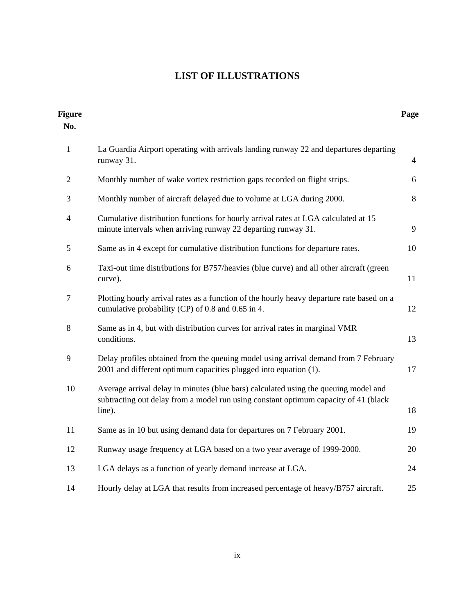# **LIST OF ILLUSTRATIONS**

| <b>Figure</b><br>No. |                                                                                                                                                                                      | Page           |
|----------------------|--------------------------------------------------------------------------------------------------------------------------------------------------------------------------------------|----------------|
| $\mathbf{1}$         | La Guardia Airport operating with arrivals landing runway 22 and departures departing<br>runway 31.                                                                                  | $\overline{4}$ |
| $\overline{2}$       | Monthly number of wake vortex restriction gaps recorded on flight strips.                                                                                                            | 6              |
| 3                    | Monthly number of aircraft delayed due to volume at LGA during 2000.                                                                                                                 | 8              |
| $\overline{4}$       | Cumulative distribution functions for hourly arrival rates at LGA calculated at 15<br>minute intervals when arriving runway 22 departing runway 31.                                  | 9              |
| 5                    | Same as in 4 except for cumulative distribution functions for departure rates.                                                                                                       | 10             |
| 6                    | Taxi-out time distributions for B757/heavies (blue curve) and all other aircraft (green<br>curve).                                                                                   | 11             |
| $\overline{7}$       | Plotting hourly arrival rates as a function of the hourly heavy departure rate based on a<br>cumulative probability (CP) of 0.8 and 0.65 in 4.                                       | 12             |
| 8                    | Same as in 4, but with distribution curves for arrival rates in marginal VMR<br>conditions.                                                                                          | 13             |
| 9                    | Delay profiles obtained from the queuing model using arrival demand from 7 February<br>2001 and different optimum capacities plugged into equation (1).                              | 17             |
| 10                   | Average arrival delay in minutes (blue bars) calculated using the queuing model and<br>subtracting out delay from a model run using constant optimum capacity of 41 (black<br>line). | 18             |
| 11                   | Same as in 10 but using demand data for departures on 7 February 2001.                                                                                                               | 19             |
| 12                   | Runway usage frequency at LGA based on a two year average of 1999-2000.                                                                                                              | 20             |
| 13                   | LGA delays as a function of yearly demand increase at LGA.                                                                                                                           | 24             |
| 14                   | Hourly delay at LGA that results from increased percentage of heavy/B757 aircraft.                                                                                                   | 25             |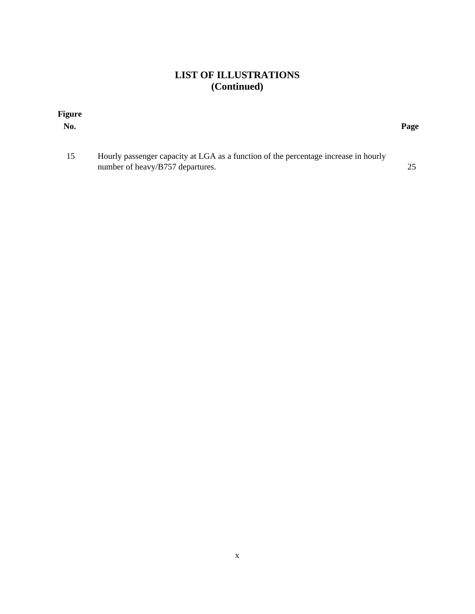# **LIST OF ILLUSTRATIONS (Continued)**

| <b>Figure</b><br>No. |                                                                                                                         | Page |
|----------------------|-------------------------------------------------------------------------------------------------------------------------|------|
| 15                   | Hourly passenger capacity at LGA as a function of the percentage increase in hourly<br>number of heavy/B757 departures. |      |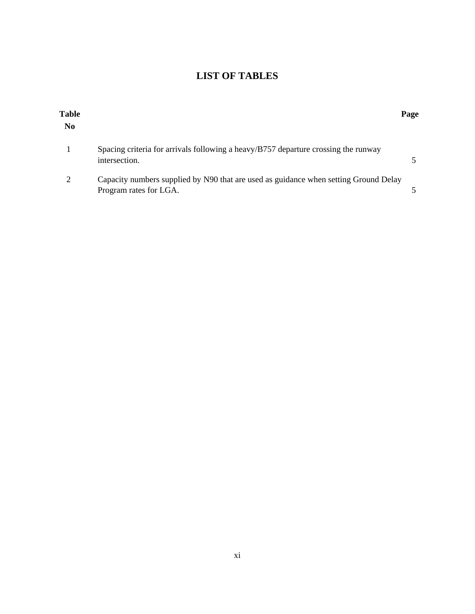# **LIST OF TABLES**

| <b>Table</b><br>N <sub>0</sub> |                                                                                                                | Page |
|--------------------------------|----------------------------------------------------------------------------------------------------------------|------|
|                                | Spacing criteria for arrivals following a heavy/B757 departure crossing the runway<br>intersection.            |      |
| 2                              | Capacity numbers supplied by N90 that are used as guidance when setting Ground Delay<br>Program rates for LGA. |      |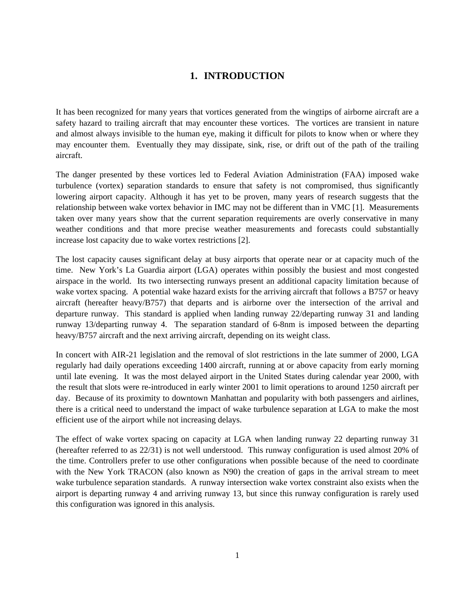## **1. INTRODUCTION**

It has been recognized for many years that vortices generated from the wingtips of airborne aircraft are a safety hazard to trailing aircraft that may encounter these vortices. The vortices are transient in nature and almost always invisible to the human eye, making it difficult for pilots to know when or where they may encounter them. Eventually they may dissipate, sink, rise, or drift out of the path of the trailing aircraft.

The danger presented by these vortices led to Federal Aviation Administration (FAA) imposed wake turbulence (vortex) separation standards to ensure that safety is not compromised, thus significantly lowering airport capacity. Although it has yet to be proven, many years of research suggests that the relationship between wake vortex behavior in IMC may not be different than in VMC [1]. Measurements taken over many years show that the current separation requirements are overly conservative in many weather conditions and that more precise weather measurements and forecasts could substantially increase lost capacity due to wake vortex restrictions [2].

The lost capacity causes significant delay at busy airports that operate near or at capacity much of the time. New York's La Guardia airport (LGA) operates within possibly the busiest and most congested airspace in the world. Its two intersecting runways present an additional capacity limitation because of wake vortex spacing. A potential wake hazard exists for the arriving aircraft that follows a B757 or heavy aircraft (hereafter heavy/B757) that departs and is airborne over the intersection of the arrival and departure runway. This standard is applied when landing runway 22/departing runway 31 and landing runway 13/departing runway 4. The separation standard of 6-8nm is imposed between the departing heavy/B757 aircraft and the next arriving aircraft, depending on its weight class.

In concert with AIR-21 legislation and the removal of slot restrictions in the late summer of 2000, LGA regularly had daily operations exceeding 1400 aircraft, running at or above capacity from early morning until late evening. It was the most delayed airport in the United States during calendar year 2000, with the result that slots were re-introduced in early winter 2001 to limit operations to around 1250 aircraft per day. Because of its proximity to downtown Manhattan and popularity with both passengers and airlines, there is a critical need to understand the impact of wake turbulence separation at LGA to make the most efficient use of the airport while not increasing delays.

The effect of wake vortex spacing on capacity at LGA when landing runway 22 departing runway 31 (hereafter referred to as 22/31) is not well understood. This runway configuration is used almost 20% of the time. Controllers prefer to use other configurations when possible because of the need to coordinate with the New York TRACON (also known as N90) the creation of gaps in the arrival stream to meet wake turbulence separation standards. A runway intersection wake vortex constraint also exists when the airport is departing runway 4 and arriving runway 13, but since this runway configuration is rarely used this configuration was ignored in this analysis.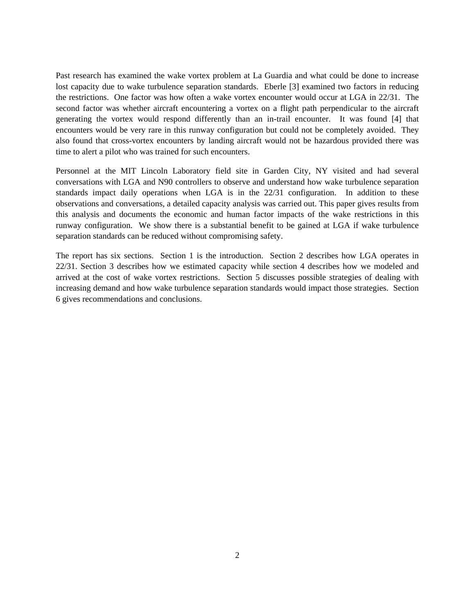Past research has examined the wake vortex problem at La Guardia and what could be done to increase lost capacity due to wake turbulence separation standards. Eberle [3] examined two factors in reducing the restrictions. One factor was how often a wake vortex encounter would occur at LGA in 22/31. The second factor was whether aircraft encountering a vortex on a flight path perpendicular to the aircraft generating the vortex would respond differently than an in-trail encounter. It was found [4] that encounters would be very rare in this runway configuration but could not be completely avoided. They also found that cross-vortex encounters by landing aircraft would not be hazardous provided there was time to alert a pilot who was trained for such encounters.

Personnel at the MIT Lincoln Laboratory field site in Garden City, NY visited and had several conversations with LGA and N90 controllers to observe and understand how wake turbulence separation standards impact daily operations when LGA is in the 22/31 configuration. In addition to these observations and conversations, a detailed capacity analysis was carried out. This paper gives results from this analysis and documents the economic and human factor impacts of the wake restrictions in this runway configuration. We show there is a substantial benefit to be gained at LGA if wake turbulence separation standards can be reduced without compromising safety.

The report has six sections. Section 1 is the introduction. Section 2 describes how LGA operates in 22/31. Section 3 describes how we estimated capacity while section 4 describes how we modeled and arrived at the cost of wake vortex restrictions. Section 5 discusses possible strategies of dealing with increasing demand and how wake turbulence separation standards would impact those strategies. Section 6 gives recommendations and conclusions.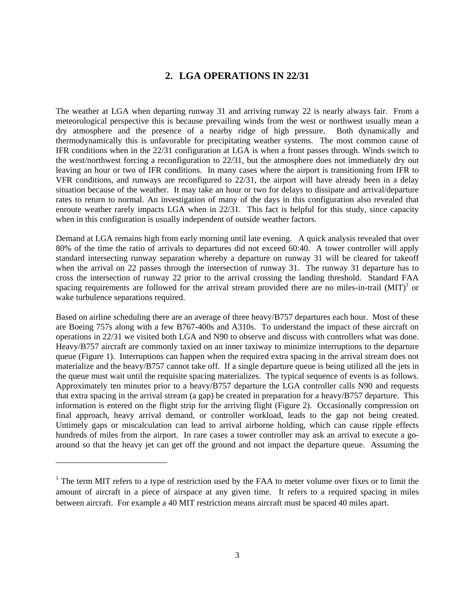## **2. LGA OPERATIONS IN 22/31**

The weather at LGA when departing runway 31 and arriving runway 22 is nearly always fair. From a meteorological perspective this is because prevailing winds from the west or northwest usually mean a dry atmosphere and the presence of a nearby ridge of high pressure. Both dynamically and thermodynamically this is unfavorable for precipitating weather systems. The most common cause of IFR conditions when in the 22/31 configuration at LGA is when a front passes through. Winds switch to the west/northwest forcing a reconfiguration to 22/31, but the atmosphere does not immediately dry out leaving an hour or two of IFR conditions. In many cases where the airport is transitioning from IFR to VFR conditions, and runways are reconfigured to 22/31, the airport will have already been in a delay situation because of the weather. It may take an hour or two for delays to dissipate and arrival/departure rates to return to normal. An investigation of many of the days in this configuration also revealed that enroute weather rarely impacts LGA when in 22/31. This fact is helpful for this study, since capacity when in this configuration is usually independent of outside weather factors.

Demand at LGA remains high from early morning until late evening. A quick analysis revealed that over 80% of the time the ratio of arrivals to departures did not exceed 60:40. A tower controller will apply standard intersecting runway separation whereby a departure on runway 31 will be cleared for takeoff when the arrival on 22 passes through the intersection of runway 31. The runway 31 departure has to cross the intersection of runway 22 prior to the arrival crossing the landing threshold. Standard FAA spacing requirements are followed for the arrival stream provided there are no miles-in-trail  $(MIT)^{1}$  or wake turbulence separations required.

Based on airline scheduling there are an average of three heavy/B757 departures each hour. Most of these are Boeing 757s along with a few B767-400s and A310s. To understand the impact of these aircraft on operations in 22/31 we visited both LGA and N90 to observe and discuss with controllers what was done. Heavy/B757 aircraft are commonly taxied on an inner taxiway to minimize interruptions to the departure queue (Figure 1). Interruptions can happen when the required extra spacing in the arrival stream does not materialize and the heavy/B757 cannot take off. If a single departure queue is being utilized all the jets in the queue must wait until the requisite spacing materializes. The typical sequence of events is as follows. Approximately ten minutes prior to a heavy/B757 departure the LGA controller calls N90 and requests that extra spacing in the arrival stream (a gap) be created in preparation for a heavy/B757 departure. This information is entered on the flight strip for the arriving flight (Figure 2). Occasionally compression on final approach, heavy arrival demand, or controller workload, leads to the gap not being created. Untimely gaps or miscalculation can lead to arrival airborne holding, which can cause ripple effects hundreds of miles from the airport. In rare cases a tower controller may ask an arrival to execute a goaround so that the heavy jet can get off the ground and not impact the departure queue. Assuming the

1

 $1$  The term MIT refers to a type of restriction used by the FAA to meter volume over fixes or to limit the amount of aircraft in a piece of airspace at any given time. It refers to a required spacing in miles between aircraft. For example a 40 MIT restriction means aircraft must be spaced 40 miles apart.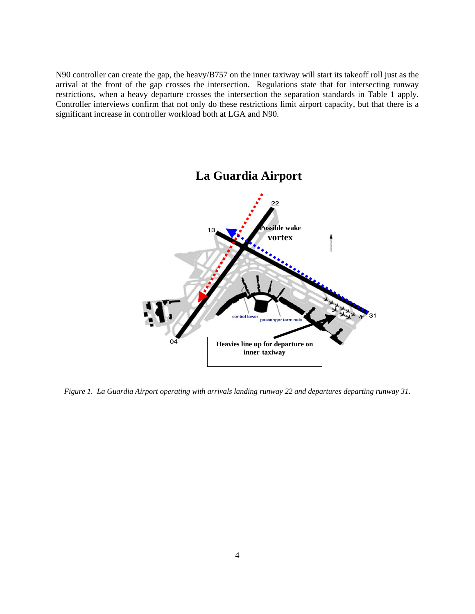N90 controller can create the gap, the heavy/B757 on the inner taxiway will start its takeoff roll just as the arrival at the front of the gap crosses the intersection. Regulations state that for intersecting runway restrictions, when a heavy departure crosses the intersection the separation standards in Table 1 apply. Controller interviews confirm that not only do these restrictions limit airport capacity, but that there is a significant increase in controller workload both at LGA and N90.



*Figure 1. La Guardia Airport operating with arrivals landing runway 22 and departures departing runway 31.*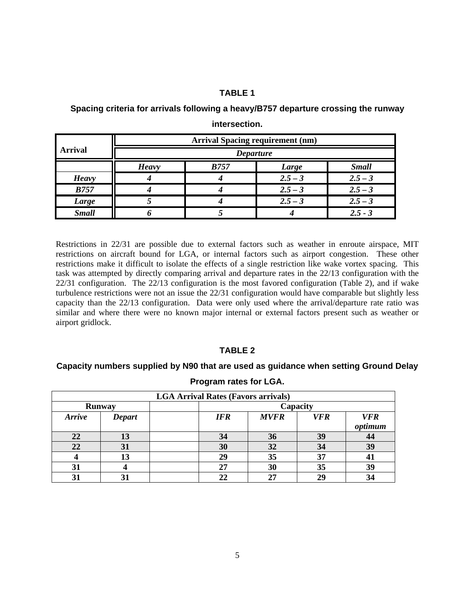## **TABLE 1**

**Spacing criteria for arrivals following a heavy/B757 departure crossing the runway** 

|                | <b>Arrival Spacing requirement (nm)</b> |             |           |              |  |
|----------------|-----------------------------------------|-------------|-----------|--------------|--|
| <b>Arrival</b> | <b>Departure</b>                        |             |           |              |  |
|                | <b>Heavy</b>                            | <b>B757</b> | Large     | <b>Small</b> |  |
| <b>Heavy</b>   |                                         |             | $2.5 - 3$ | $2.5 - 3$    |  |
| <b>B757</b>    |                                         |             | $2.5 - 3$ | $2.5 - 3$    |  |
| <b>Large</b>   |                                         |             | $2.5 - 3$ | $2.5 - 3$    |  |
| <b>Small</b>   |                                         |             |           | $2.5 - 3$    |  |

**intersection.** 

Restrictions in 22/31 are possible due to external factors such as weather in enroute airspace, MIT restrictions on aircraft bound for LGA, or internal factors such as airport congestion. These other restrictions make it difficult to isolate the effects of a single restriction like wake vortex spacing. This task was attempted by directly comparing arrival and departure rates in the 22/13 configuration with the 22/31 configuration. The 22/13 configuration is the most favored configuration (Table 2), and if wake turbulence restrictions were not an issue the 22/31 configuration would have comparable but slightly less capacity than the 22/13 configuration. Data were only used where the arrival/departure rate ratio was similar and where there were no known major internal or external factors present such as weather or airport gridlock.

## **TABLE 2**

## **Capacity numbers supplied by N90 that are used as guidance when setting Ground Delay**

| <b>LGA Arrival Rates (Favors arrivals)</b> |               |  |            |             |            |                       |
|--------------------------------------------|---------------|--|------------|-------------|------------|-----------------------|
| <b>Runway</b>                              |               |  |            |             | Capacity   |                       |
| <b>Arrive</b>                              | <b>Depart</b> |  | <b>IFR</b> | <b>MVFR</b> | <b>VFR</b> | <b>VFR</b><br>optimum |
| 22                                         | 13            |  | 34         | 36          | 39         | 44                    |
| 22                                         | 31            |  | 30         | 32          | 34         | 39                    |
|                                            | 13            |  | 29         | 35          | 37         | 41                    |
| 31                                         |               |  | 27         | 30          | 35         | 39                    |
|                                            | 31            |  |            | 27          |            |                       |

#### **Program rates for LGA.**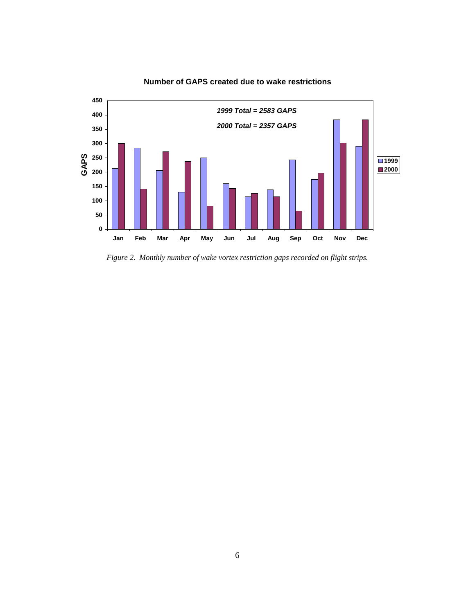

**Number of GAPS created due to wake restrictions**

*Figure 2. Monthly number of wake vortex restriction gaps recorded on flight strips.*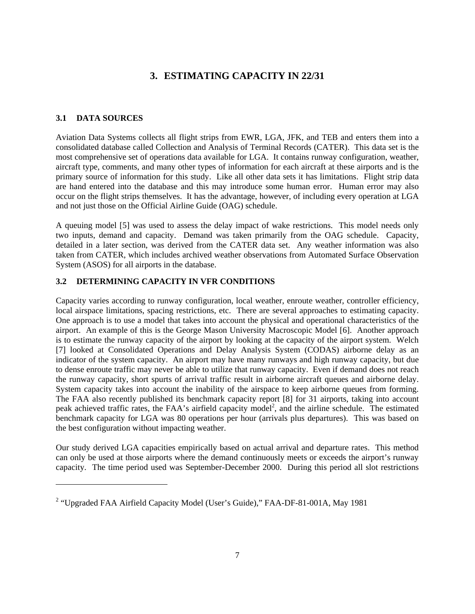## **3. ESTIMATING CAPACITY IN 22/31**

## **3.1 DATA SOURCES**

1

Aviation Data Systems collects all flight strips from EWR, LGA, JFK, and TEB and enters them into a consolidated database called Collection and Analysis of Terminal Records (CATER). This data set is the most comprehensive set of operations data available for LGA. It contains runway configuration, weather, aircraft type, comments, and many other types of information for each aircraft at these airports and is the primary source of information for this study. Like all other data sets it has limitations. Flight strip data are hand entered into the database and this may introduce some human error. Human error may also occur on the flight strips themselves. It has the advantage, however, of including every operation at LGA and not just those on the Official Airline Guide (OAG) schedule.

A queuing model [5] was used to assess the delay impact of wake restrictions. This model needs only two inputs, demand and capacity. Demand was taken primarily from the OAG schedule. Capacity, detailed in a later section, was derived from the CATER data set. Any weather information was also taken from CATER, which includes archived weather observations from Automated Surface Observation System (ASOS) for all airports in the database.

## **3.2 DETERMINING CAPACITY IN VFR CONDITIONS**

Capacity varies according to runway configuration, local weather, enroute weather, controller efficiency, local airspace limitations, spacing restrictions, etc. There are several approaches to estimating capacity. One approach is to use a model that takes into account the physical and operational characteristics of the airport. An example of this is the George Mason University Macroscopic Model [6]. Another approach is to estimate the runway capacity of the airport by looking at the capacity of the airport system. Welch [7] looked at Consolidated Operations and Delay Analysis System (CODAS) airborne delay as an indicator of the system capacity. An airport may have many runways and high runway capacity, but due to dense enroute traffic may never be able to utilize that runway capacity. Even if demand does not reach the runway capacity, short spurts of arrival traffic result in airborne aircraft queues and airborne delay. System capacity takes into account the inability of the airspace to keep airborne queues from forming. The FAA also recently published its benchmark capacity report [8] for 31 airports, taking into account peak achieved traffic rates, the FAA's airfield capacity model<sup>2</sup>, and the airline schedule. The estimated benchmark capacity for LGA was 80 operations per hour (arrivals plus departures). This was based on the best configuration without impacting weather.

Our study derived LGA capacities empirically based on actual arrival and departure rates. This method can only be used at those airports where the demand continuously meets or exceeds the airport's runway capacity. The time period used was September-December 2000. During this period all slot restrictions

<sup>&</sup>lt;sup>2</sup> "Upgraded FAA Airfield Capacity Model (User's Guide)," FAA-DF-81-001A, May 1981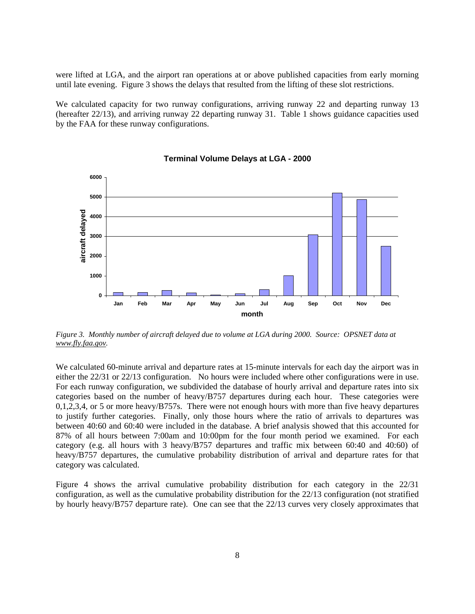were lifted at LGA, and the airport ran operations at or above published capacities from early morning until late evening. Figure 3 shows the delays that resulted from the lifting of these slot restrictions.

We calculated capacity for two runway configurations, arriving runway 22 and departing runway 13 (hereafter 22/13), and arriving runway 22 departing runway 31. Table 1 shows guidance capacities used by the FAA for these runway configurations.



#### **Terminal Volume Delays at LGA - 2000**

*Figure 3. Monthly number of aircraft delayed due to volume at LGA during 2000. Source: OPSNET data at www.fly.faa.gov.* 

We calculated 60-minute arrival and departure rates at 15-minute intervals for each day the airport was in either the 22/31 or 22/13 configuration. No hours were included where other configurations were in use. For each runway configuration, we subdivided the database of hourly arrival and departure rates into six categories based on the number of heavy/B757 departures during each hour. These categories were 0,1,2,3,4, or 5 or more heavy/B757s. There were not enough hours with more than five heavy departures to justify further categories. Finally, only those hours where the ratio of arrivals to departures was between 40:60 and 60:40 were included in the database. A brief analysis showed that this accounted for 87% of all hours between 7:00am and 10:00pm for the four month period we examined. For each category (e.g. all hours with 3 heavy/B757 departures and traffic mix between 60:40 and 40:60) of heavy/B757 departures, the cumulative probability distribution of arrival and departure rates for that category was calculated.

Figure 4 shows the arrival cumulative probability distribution for each category in the 22/31 configuration, as well as the cumulative probability distribution for the 22/13 configuration (not stratified by hourly heavy/B757 departure rate). One can see that the 22/13 curves very closely approximates that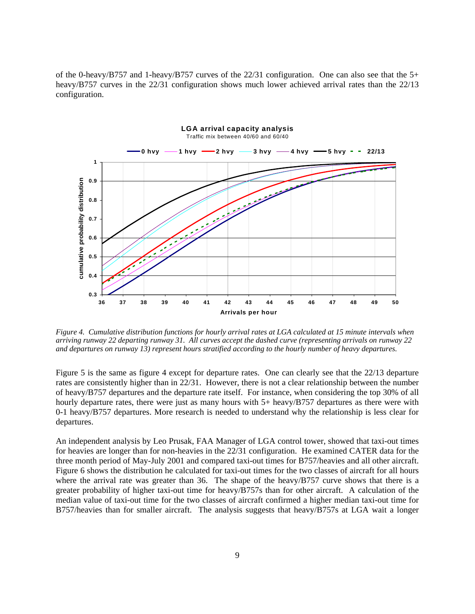of the 0-heavy/B757 and 1-heavy/B757 curves of the 22/31 configuration. One can also see that the 5+ heavy/B757 curves in the 22/31 configuration shows much lower achieved arrival rates than the 22/13 configuration.



*Figure 4. Cumulative distribution functions for hourly arrival rates at LGA calculated at 15 minute intervals when arriving runway 22 departing runway 31. All curves accept the dashed curve (representing arrivals on runway 22 and departures on runway 13) represent hours stratified according to the hourly number of heavy departures.* 

Figure 5 is the same as figure 4 except for departure rates. One can clearly see that the 22/13 departure rates are consistently higher than in 22/31. However, there is not a clear relationship between the number of heavy/B757 departures and the departure rate itself. For instance, when considering the top 30% of all hourly departure rates, there were just as many hours with 5+ heavy/B757 departures as there were with 0-1 heavy/B757 departures. More research is needed to understand why the relationship is less clear for departures.

An independent analysis by Leo Prusak, FAA Manager of LGA control tower, showed that taxi-out times for heavies are longer than for non-heavies in the 22/31 configuration. He examined CATER data for the three month period of May-July 2001 and compared taxi-out times for B757/heavies and all other aircraft. Figure 6 shows the distribution he calculated for taxi-out times for the two classes of aircraft for all hours where the arrival rate was greater than 36. The shape of the heavy/B757 curve shows that there is a greater probability of higher taxi-out time for heavy/B757s than for other aircraft. A calculation of the median value of taxi-out time for the two classes of aircraft confirmed a higher median taxi-out time for B757/heavies than for smaller aircraft. The analysis suggests that heavy/B757s at LGA wait a longer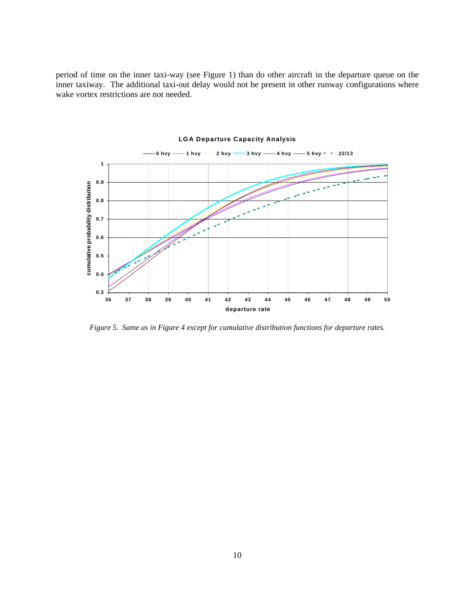period of time on the inner taxi-way (see Figure 1) than do other aircraft in the departure queue on the inner taxiway. The additional taxi-out delay would not be present in other runway configurations where wake vortex restrictions are not needed.



**LGA Departure Capacity Analysis**

*Figure 5. Same as in Figure 4 except for cumulative distribution functions for departure rates.*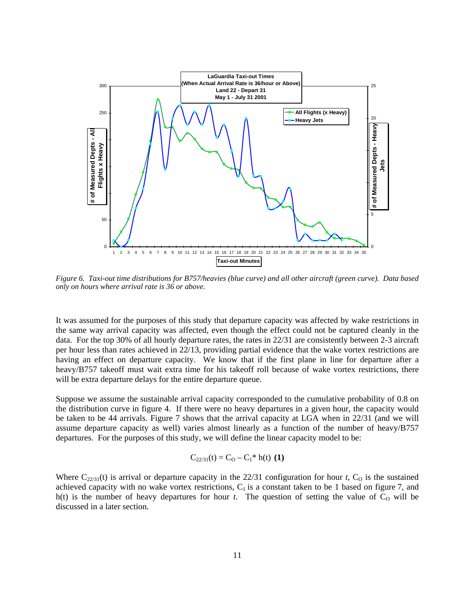

*Figure 6. Taxi-out time distributions for B757/heavies (blue curve) and all other aircraft (green curve). Data based only on hours where arrival rate is 36 or above.* 

It was assumed for the purposes of this study that departure capacity was affected by wake restrictions in the same way arrival capacity was affected, even though the effect could not be captured cleanly in the data. For the top 30% of all hourly departure rates, the rates in 22/31 are consistently between 2-3 aircraft per hour less than rates achieved in 22/13, providing partial evidence that the wake vortex restrictions are having an effect on departure capacity. We know that if the first plane in line for departure after a heavy/B757 takeoff must wait extra time for his takeoff roll because of wake vortex restrictions, there will be extra departure delays for the entire departure queue.

Suppose we assume the sustainable arrival capacity corresponded to the cumulative probability of 0.8 on the distribution curve in figure 4. If there were no heavy departures in a given hour, the capacity would be taken to be 44 arrivals. Figure 7 shows that the arrival capacity at LGA when in 22/31 (and we will assume departure capacity as well) varies almost linearly as a function of the number of heavy/B757 departures. For the purposes of this study, we will define the linear capacity model to be:

$$
C_{22/31}(t) = C_O - C_1^* h(t) (1)
$$

Where  $C_{22/31}(t)$  is arrival or departure capacity in the 22/31 configuration for hour *t*,  $C_0$  is the sustained achieved capacity with no wake vortex restrictions,  $C_1$  is a constant taken to be 1 based on figure 7, and h(t) is the number of heavy departures for hour  $t$ . The question of setting the value of  $C<sub>0</sub>$  will be discussed in a later section.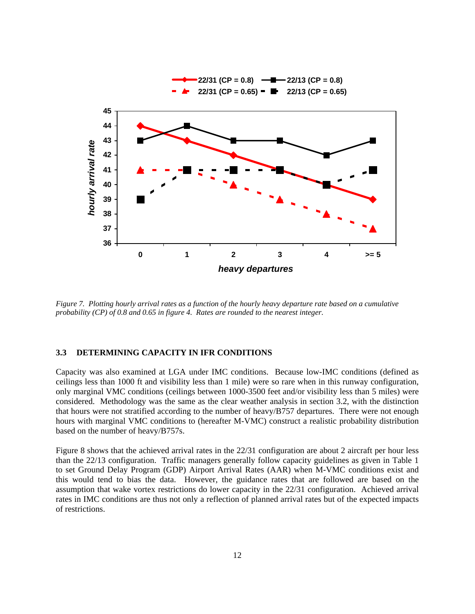

*Figure 7. Plotting hourly arrival rates as a function of the hourly heavy departure rate based on a cumulative probability (CP) of 0.8 and 0.65 in figure 4. Rates are rounded to the nearest integer.* 

#### **3.3 DETERMINING CAPACITY IN IFR CONDITIONS**

Capacity was also examined at LGA under IMC conditions. Because low-IMC conditions (defined as ceilings less than 1000 ft and visibility less than 1 mile) were so rare when in this runway configuration, only marginal VMC conditions (ceilings between 1000-3500 feet and/or visibility less than 5 miles) were considered. Methodology was the same as the clear weather analysis in section 3.2, with the distinction that hours were not stratified according to the number of heavy/B757 departures. There were not enough hours with marginal VMC conditions to (hereafter M-VMC) construct a realistic probability distribution based on the number of heavy/B757s.

Figure 8 shows that the achieved arrival rates in the 22/31 configuration are about 2 aircraft per hour less than the 22/13 configuration. Traffic managers generally follow capacity guidelines as given in Table 1 to set Ground Delay Program (GDP) Airport Arrival Rates (AAR) when M-VMC conditions exist and this would tend to bias the data. However, the guidance rates that are followed are based on the assumption that wake vortex restrictions do lower capacity in the 22/31 configuration. Achieved arrival rates in IMC conditions are thus not only a reflection of planned arrival rates but of the expected impacts of restrictions.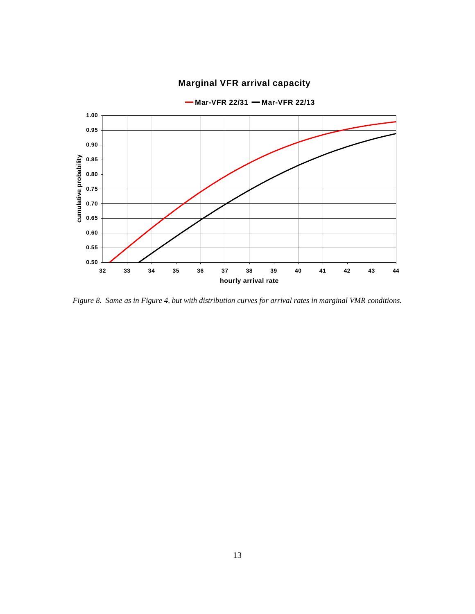

## **Marginal VFR arrival capacity**

*Figure 8. Same as in Figure 4, but with distribution curves for arrival rates in marginal VMR conditions.*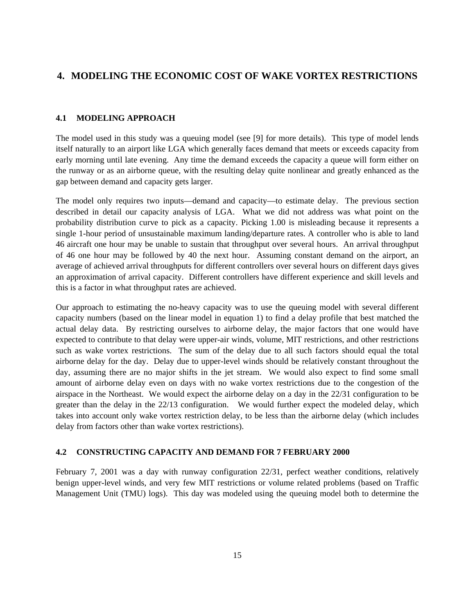## **4. MODELING THE ECONOMIC COST OF WAKE VORTEX RESTRICTIONS**

## **4.1 MODELING APPROACH**

The model used in this study was a queuing model (see [9] for more details). This type of model lends itself naturally to an airport like LGA which generally faces demand that meets or exceeds capacity from early morning until late evening. Any time the demand exceeds the capacity a queue will form either on the runway or as an airborne queue, with the resulting delay quite nonlinear and greatly enhanced as the gap between demand and capacity gets larger.

The model only requires two inputs—demand and capacity—to estimate delay. The previous section described in detail our capacity analysis of LGA. What we did not address was what point on the probability distribution curve to pick as a capacity. Picking 1.00 is misleading because it represents a single 1-hour period of unsustainable maximum landing/departure rates. A controller who is able to land 46 aircraft one hour may be unable to sustain that throughput over several hours. An arrival throughput of 46 one hour may be followed by 40 the next hour. Assuming constant demand on the airport, an average of achieved arrival throughputs for different controllers over several hours on different days gives an approximation of arrival capacity. Different controllers have different experience and skill levels and this is a factor in what throughput rates are achieved.

Our approach to estimating the no-heavy capacity was to use the queuing model with several different capacity numbers (based on the linear model in equation 1) to find a delay profile that best matched the actual delay data. By restricting ourselves to airborne delay, the major factors that one would have expected to contribute to that delay were upper-air winds, volume, MIT restrictions, and other restrictions such as wake vortex restrictions. The sum of the delay due to all such factors should equal the total airborne delay for the day. Delay due to upper-level winds should be relatively constant throughout the day, assuming there are no major shifts in the jet stream. We would also expect to find some small amount of airborne delay even on days with no wake vortex restrictions due to the congestion of the airspace in the Northeast. We would expect the airborne delay on a day in the 22/31 configuration to be greater than the delay in the 22/13 configuration. We would further expect the modeled delay, which takes into account only wake vortex restriction delay, to be less than the airborne delay (which includes delay from factors other than wake vortex restrictions).

## **4.2 CONSTRUCTING CAPACITY AND DEMAND FOR 7 FEBRUARY 2000**

February 7, 2001 was a day with runway configuration 22/31, perfect weather conditions, relatively benign upper-level winds, and very few MIT restrictions or volume related problems (based on Traffic Management Unit (TMU) logs). This day was modeled using the queuing model both to determine the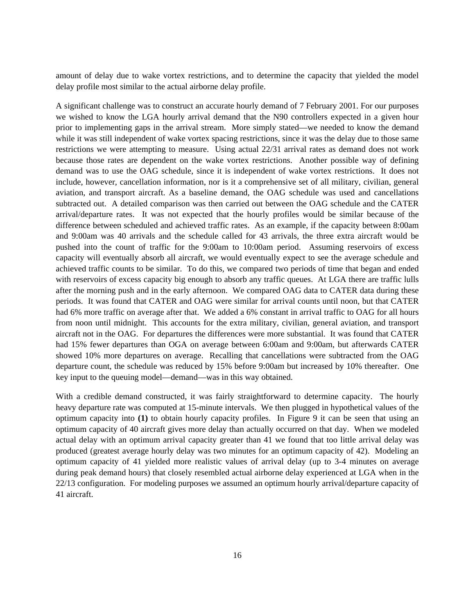amount of delay due to wake vortex restrictions, and to determine the capacity that yielded the model delay profile most similar to the actual airborne delay profile.

A significant challenge was to construct an accurate hourly demand of 7 February 2001. For our purposes we wished to know the LGA hourly arrival demand that the N90 controllers expected in a given hour prior to implementing gaps in the arrival stream. More simply stated—we needed to know the demand while it was still independent of wake vortex spacing restrictions, since it was the delay due to those same restrictions we were attempting to measure. Using actual 22/31 arrival rates as demand does not work because those rates are dependent on the wake vortex restrictions. Another possible way of defining demand was to use the OAG schedule, since it is independent of wake vortex restrictions. It does not include, however, cancellation information, nor is it a comprehensive set of all military, civilian, general aviation, and transport aircraft. As a baseline demand, the OAG schedule was used and cancellations subtracted out. A detailed comparison was then carried out between the OAG schedule and the CATER arrival/departure rates. It was not expected that the hourly profiles would be similar because of the difference between scheduled and achieved traffic rates. As an example, if the capacity between 8:00am and 9:00am was 40 arrivals and the schedule called for 43 arrivals, the three extra aircraft would be pushed into the count of traffic for the 9:00am to 10:00am period. Assuming reservoirs of excess capacity will eventually absorb all aircraft, we would eventually expect to see the average schedule and achieved traffic counts to be similar. To do this, we compared two periods of time that began and ended with reservoirs of excess capacity big enough to absorb any traffic queues. At LGA there are traffic lulls after the morning push and in the early afternoon. We compared OAG data to CATER data during these periods. It was found that CATER and OAG were similar for arrival counts until noon, but that CATER had 6% more traffic on average after that. We added a 6% constant in arrival traffic to OAG for all hours from noon until midnight. This accounts for the extra military, civilian, general aviation, and transport aircraft not in the OAG. For departures the differences were more substantial. It was found that CATER had 15% fewer departures than OGA on average between 6:00am and 9:00am, but afterwards CATER showed 10% more departures on average. Recalling that cancellations were subtracted from the OAG departure count, the schedule was reduced by 15% before 9:00am but increased by 10% thereafter. One key input to the queuing model—demand—was in this way obtained.

With a credible demand constructed, it was fairly straightforward to determine capacity. The hourly heavy departure rate was computed at 15-minute intervals. We then plugged in hypothetical values of the optimum capacity into **(1)** to obtain hourly capacity profiles. In Figure 9 it can be seen that using an optimum capacity of 40 aircraft gives more delay than actually occurred on that day. When we modeled actual delay with an optimum arrival capacity greater than 41 we found that too little arrival delay was produced (greatest average hourly delay was two minutes for an optimum capacity of 42). Modeling an optimum capacity of 41 yielded more realistic values of arrival delay (up to 3-4 minutes on average during peak demand hours) that closely resembled actual airborne delay experienced at LGA when in the 22/13 configuration. For modeling purposes we assumed an optimum hourly arrival/departure capacity of 41 aircraft.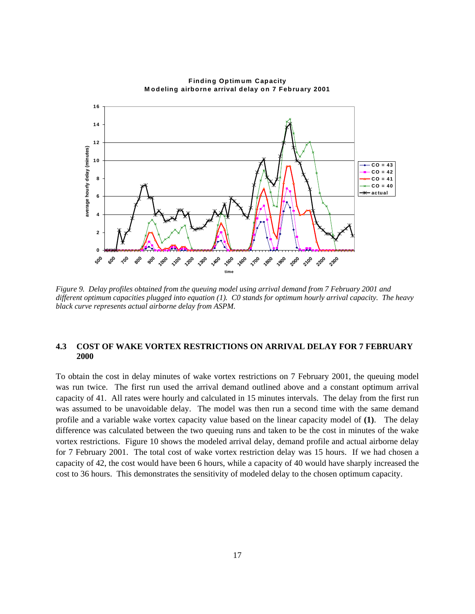

**Finding Optimum Capacity M odeling airborne arrival delay on 7 February 2001**

*Figure 9. Delay profiles obtained from the queuing model using arrival demand from 7 February 2001 and different optimum capacities plugged into equation (1). C0 stands for optimum hourly arrival capacity. The heavy black curve represents actual airborne delay from ASPM.* 

## **4.3 COST OF WAKE VORTEX RESTRICTIONS ON ARRIVAL DELAY FOR 7 FEBRUARY 2000**

To obtain the cost in delay minutes of wake vortex restrictions on 7 February 2001, the queuing model was run twice. The first run used the arrival demand outlined above and a constant optimum arrival capacity of 41. All rates were hourly and calculated in 15 minutes intervals. The delay from the first run was assumed to be unavoidable delay. The model was then run a second time with the same demand profile and a variable wake vortex capacity value based on the linear capacity model of **(1)**. The delay difference was calculated between the two queuing runs and taken to be the cost in minutes of the wake vortex restrictions. Figure 10 shows the modeled arrival delay, demand profile and actual airborne delay for 7 February 2001. The total cost of wake vortex restriction delay was 15 hours. If we had chosen a capacity of 42, the cost would have been 6 hours, while a capacity of 40 would have sharply increased the cost to 36 hours. This demonstrates the sensitivity of modeled delay to the chosen optimum capacity.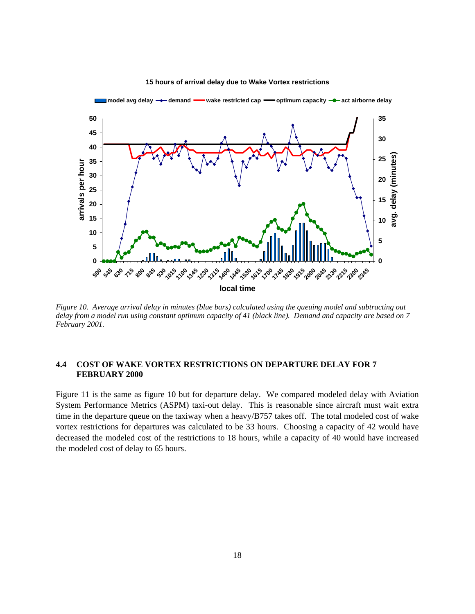

#### **15 hours of arrival delay due to Wake Vortex restrictions**

*Figure 10. Average arrival delay in minutes (blue bars) calculated using the queuing model and subtracting out delay from a model run using constant optimum capacity of 41 (black line). Demand and capacity are based on 7 February 2001.* 

## **4.4 COST OF WAKE VORTEX RESTRICTIONS ON DEPARTURE DELAY FOR 7 FEBRUARY 2000**

Figure 11 is the same as figure 10 but for departure delay. We compared modeled delay with Aviation System Performance Metrics (ASPM) taxi-out delay. This is reasonable since aircraft must wait extra time in the departure queue on the taxiway when a heavy/B757 takes off. The total modeled cost of wake vortex restrictions for departures was calculated to be 33 hours. Choosing a capacity of 42 would have decreased the modeled cost of the restrictions to 18 hours, while a capacity of 40 would have increased the modeled cost of delay to 65 hours.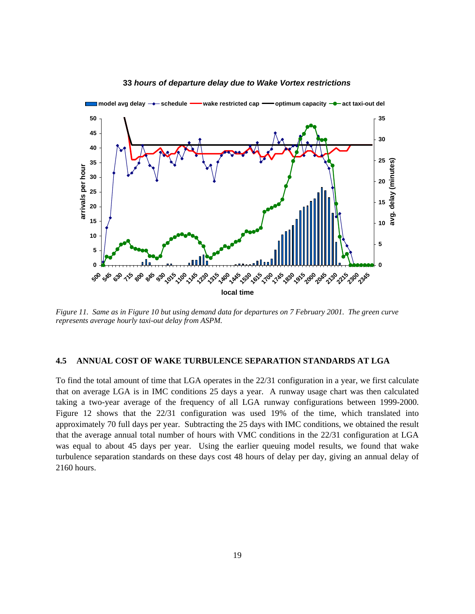

#### *hours of departure delay due to Wake Vortex restrictions*

*Figure 11. Same as in Figure 10 but using demand data for departures on 7 February 2001. The green curve represents average hourly taxi-out delay from ASPM.* 

#### **4.5 ANNUAL COST OF WAKE TURBULENCE SEPARATION STANDARDS AT LGA**

To find the total amount of time that LGA operates in the 22/31 configuration in a year, we first calculate that on average LGA is in IMC conditions 25 days a year. A runway usage chart was then calculated taking a two-year average of the frequency of all LGA runway configurations between 1999-2000. Figure 12 shows that the 22/31 configuration was used 19% of the time, which translated into approximately 70 full days per year. Subtracting the 25 days with IMC conditions, we obtained the result that the average annual total number of hours with VMC conditions in the 22/31 configuration at LGA was equal to about 45 days per year. Using the earlier queuing model results, we found that wake turbulence separation standards on these days cost 48 hours of delay per day, giving an annual delay of 2160 hours.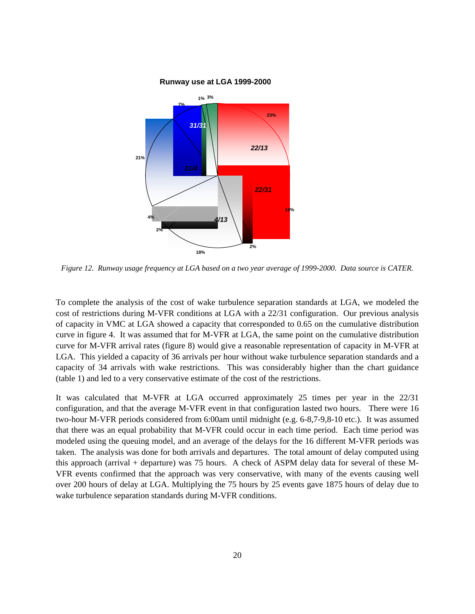

*Figure 12. Runway usage frequency at LGA based on a two year average of 1999-2000. Data source is CATER.* 

To complete the analysis of the cost of wake turbulence separation standards at LGA, we modeled the cost of restrictions during M-VFR conditions at LGA with a 22/31 configuration. Our previous analysis of capacity in VMC at LGA showed a capacity that corresponded to 0.65 on the cumulative distribution curve in figure 4. It was assumed that for M-VFR at LGA, the same point on the cumulative distribution curve for M-VFR arrival rates (figure 8) would give a reasonable representation of capacity in M-VFR at LGA. This yielded a capacity of 36 arrivals per hour without wake turbulence separation standards and a capacity of 34 arrivals with wake restrictions. This was considerably higher than the chart guidance (table 1) and led to a very conservative estimate of the cost of the restrictions.

It was calculated that M-VFR at LGA occurred approximately 25 times per year in the 22/31 configuration, and that the average M-VFR event in that configuration lasted two hours. There were 16 two-hour M-VFR periods considered from 6:00am until midnight (e.g. 6-8,7-9,8-10 etc.). It was assumed that there was an equal probability that M-VFR could occur in each time period. Each time period was modeled using the queuing model, and an average of the delays for the 16 different M-VFR periods was taken. The analysis was done for both arrivals and departures. The total amount of delay computed using this approach (arrival + departure) was 75 hours. A check of ASPM delay data for several of these M-VFR events confirmed that the approach was very conservative, with many of the events causing well over 200 hours of delay at LGA. Multiplying the 75 hours by 25 events gave 1875 hours of delay due to wake turbulence separation standards during M-VFR conditions.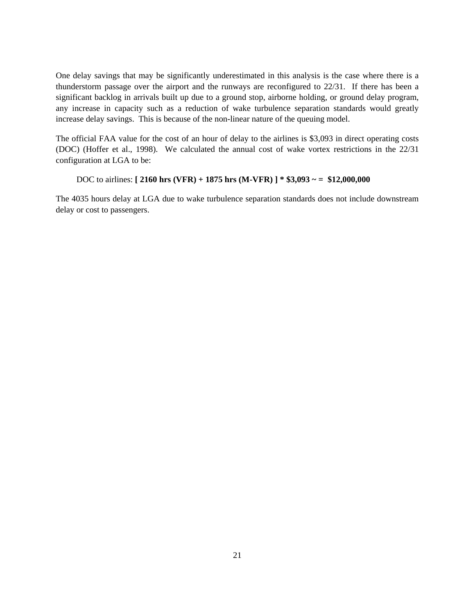One delay savings that may be significantly underestimated in this analysis is the case where there is a thunderstorm passage over the airport and the runways are reconfigured to 22/31. If there has been a significant backlog in arrivals built up due to a ground stop, airborne holding, or ground delay program, any increase in capacity such as a reduction of wake turbulence separation standards would greatly increase delay savings. This is because of the non-linear nature of the queuing model.

The official FAA value for the cost of an hour of delay to the airlines is \$3,093 in direct operating costs (DOC) (Hoffer et al., 1998). We calculated the annual cost of wake vortex restrictions in the 22/31 configuration at LGA to be:

## DOC to airlines: **[ 2160 hrs (VFR) + 1875 hrs (M-VFR) ] \* \$3,093 ~ = \$12,000,000**

The 4035 hours delay at LGA due to wake turbulence separation standards does not include downstream delay or cost to passengers.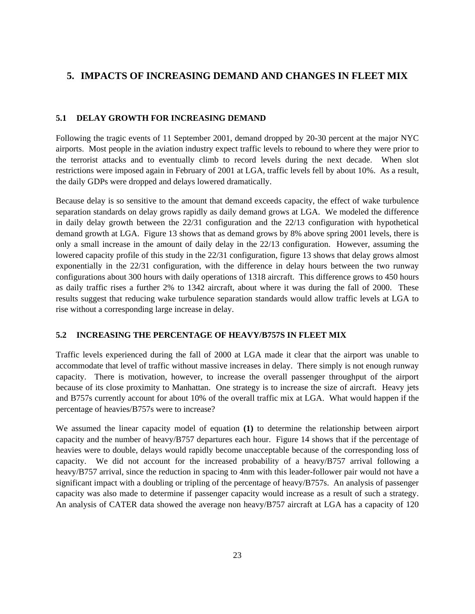## **5. IMPACTS OF INCREASING DEMAND AND CHANGES IN FLEET MIX**

## **5.1 DELAY GROWTH FOR INCREASING DEMAND**

Following the tragic events of 11 September 2001, demand dropped by 20-30 percent at the major NYC airports. Most people in the aviation industry expect traffic levels to rebound to where they were prior to the terrorist attacks and to eventually climb to record levels during the next decade. When slot restrictions were imposed again in February of 2001 at LGA, traffic levels fell by about 10%. As a result, the daily GDPs were dropped and delays lowered dramatically.

Because delay is so sensitive to the amount that demand exceeds capacity, the effect of wake turbulence separation standards on delay grows rapidly as daily demand grows at LGA. We modeled the difference in daily delay growth between the 22/31 configuration and the 22/13 configuration with hypothetical demand growth at LGA. Figure 13 shows that as demand grows by 8% above spring 2001 levels, there is only a small increase in the amount of daily delay in the 22/13 configuration. However, assuming the lowered capacity profile of this study in the 22/31 configuration, figure 13 shows that delay grows almost exponentially in the 22/31 configuration, with the difference in delay hours between the two runway configurations about 300 hours with daily operations of 1318 aircraft. This difference grows to 450 hours as daily traffic rises a further 2% to 1342 aircraft, about where it was during the fall of 2000. These results suggest that reducing wake turbulence separation standards would allow traffic levels at LGA to rise without a corresponding large increase in delay.

#### **5.2 INCREASING THE PERCENTAGE OF HEAVY/B757S IN FLEET MIX**

Traffic levels experienced during the fall of 2000 at LGA made it clear that the airport was unable to accommodate that level of traffic without massive increases in delay. There simply is not enough runway capacity. There is motivation, however, to increase the overall passenger throughput of the airport because of its close proximity to Manhattan. One strategy is to increase the size of aircraft. Heavy jets and B757s currently account for about 10% of the overall traffic mix at LGA. What would happen if the percentage of heavies/B757s were to increase?

We assumed the linear capacity model of equation **(1)** to determine the relationship between airport capacity and the number of heavy/B757 departures each hour. Figure 14 shows that if the percentage of heavies were to double, delays would rapidly become unacceptable because of the corresponding loss of capacity. We did not account for the increased probability of a heavy/B757 arrival following a heavy/B757 arrival, since the reduction in spacing to 4nm with this leader-follower pair would not have a significant impact with a doubling or tripling of the percentage of heavy/B757s. An analysis of passenger capacity was also made to determine if passenger capacity would increase as a result of such a strategy. An analysis of CATER data showed the average non heavy/B757 aircraft at LGA has a capacity of 120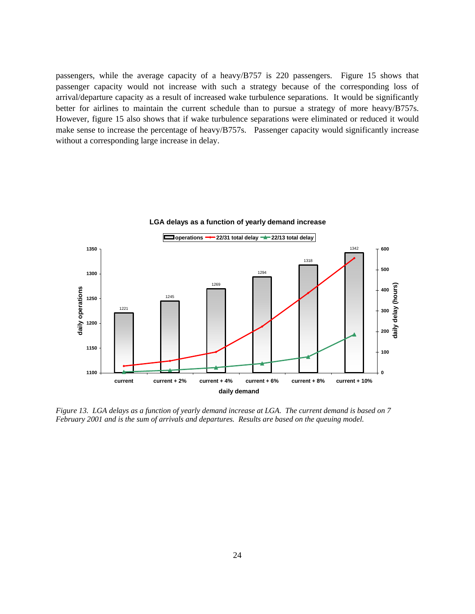passengers, while the average capacity of a heavy/B757 is 220 passengers. Figure 15 shows that passenger capacity would not increase with such a strategy because of the corresponding loss of arrival/departure capacity as a result of increased wake turbulence separations. It would be significantly better for airlines to maintain the current schedule than to pursue a strategy of more heavy/B757s. However, figure 15 also shows that if wake turbulence separations were eliminated or reduced it would make sense to increase the percentage of heavy/B757s. Passenger capacity would significantly increase without a corresponding large increase in delay.



**LGA delays as a function of yearly demand increase**

*Figure 13. LGA delays as a function of yearly demand increase at LGA. The current demand is based on 7 February 2001 and is the sum of arrivals and departures. Results are based on the queuing model.*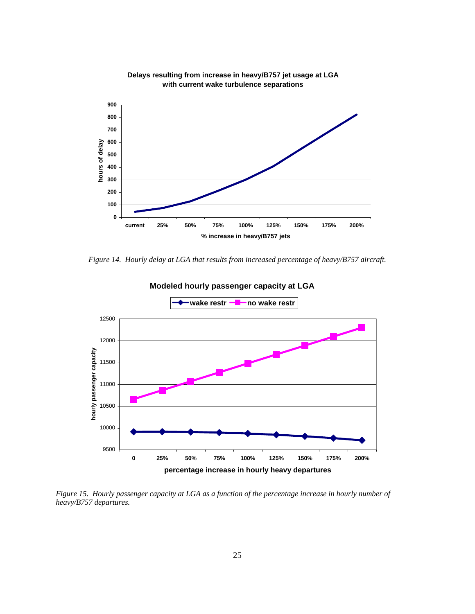

**Delays resulting from increase in heavy/B757 jet usage at LGA with current wake turbulence separations**

*Figure 14. Hourly delay at LGA that results from increased percentage of heavy/B757 aircraft.* 



*Figure 15. Hourly passenger capacity at LGA as a function of the percentage increase in hourly number of heavy/B757 departures.*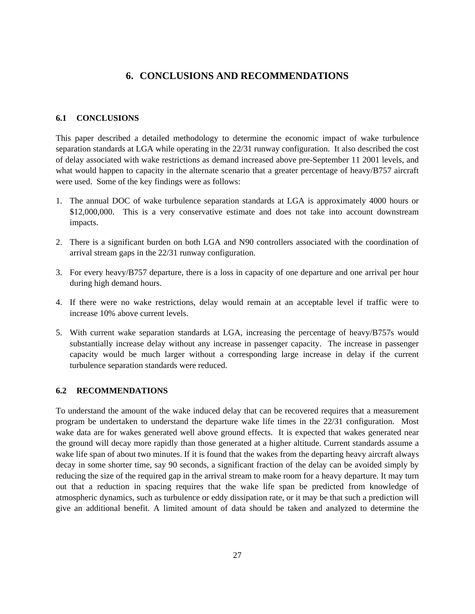## **6. CONCLUSIONS AND RECOMMENDATIONS**

#### **6.1 CONCLUSIONS**

This paper described a detailed methodology to determine the economic impact of wake turbulence separation standards at LGA while operating in the 22/31 runway configuration. It also described the cost of delay associated with wake restrictions as demand increased above pre-September 11 2001 levels, and what would happen to capacity in the alternate scenario that a greater percentage of heavy/B757 aircraft were used. Some of the key findings were as follows:

- 1. The annual DOC of wake turbulence separation standards at LGA is approximately 4000 hours or \$12,000,000. This is a very conservative estimate and does not take into account downstream impacts.
- 2. There is a significant burden on both LGA and N90 controllers associated with the coordination of arrival stream gaps in the 22/31 runway configuration.
- 3. For every heavy/B757 departure, there is a loss in capacity of one departure and one arrival per hour during high demand hours.
- 4. If there were no wake restrictions, delay would remain at an acceptable level if traffic were to increase 10% above current levels.
- 5. With current wake separation standards at LGA, increasing the percentage of heavy/B757s would substantially increase delay without any increase in passenger capacity. The increase in passenger capacity would be much larger without a corresponding large increase in delay if the current turbulence separation standards were reduced.

#### **6.2 RECOMMENDATIONS**

To understand the amount of the wake induced delay that can be recovered requires that a measurement program be undertaken to understand the departure wake life times in the 22/31 configuration. Most wake data are for wakes generated well above ground effects. It is expected that wakes generated near the ground will decay more rapidly than those generated at a higher altitude. Current standards assume a wake life span of about two minutes. If it is found that the wakes from the departing heavy aircraft always decay in some shorter time, say 90 seconds, a significant fraction of the delay can be avoided simply by reducing the size of the required gap in the arrival stream to make room for a heavy departure. It may turn out that a reduction in spacing requires that the wake life span be predicted from knowledge of atmospheric dynamics, such as turbulence or eddy dissipation rate, or it may be that such a prediction will give an additional benefit. A limited amount of data should be taken and analyzed to determine the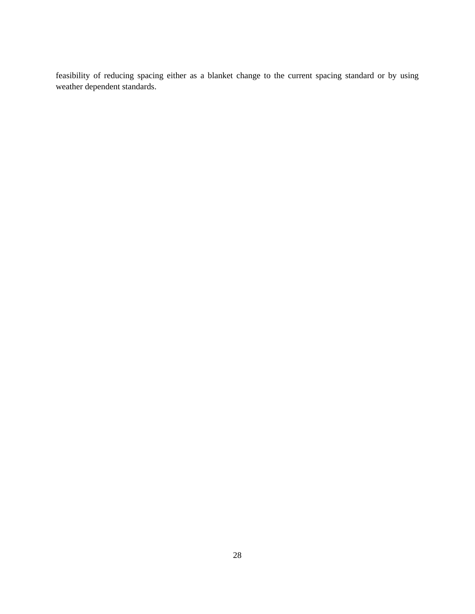feasibility of reducing spacing either as a blanket change to the current spacing standard or by using weather dependent standards.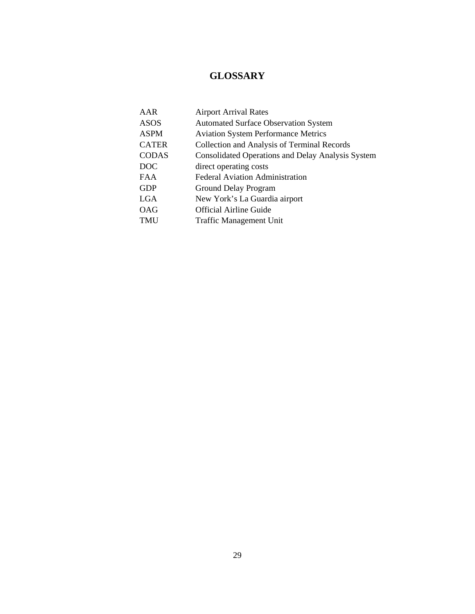# **GLOSSARY**

| AAR          | <b>Airport Arrival Rates</b>                             |
|--------------|----------------------------------------------------------|
| ASOS         | <b>Automated Surface Observation System</b>              |
| ASPM         | <b>Aviation System Performance Metrics</b>               |
| <b>CATER</b> | Collection and Analysis of Terminal Records              |
| CODAS        | <b>Consolidated Operations and Delay Analysis System</b> |
| <b>DOC</b>   | direct operating costs                                   |
| FAA          | <b>Federal Aviation Administration</b>                   |
| GDP          | Ground Delay Program                                     |
| LGA          | New York's La Guardia airport                            |
| OAG          | <b>Official Airline Guide</b>                            |
| TMU          | <b>Traffic Management Unit</b>                           |
|              |                                                          |